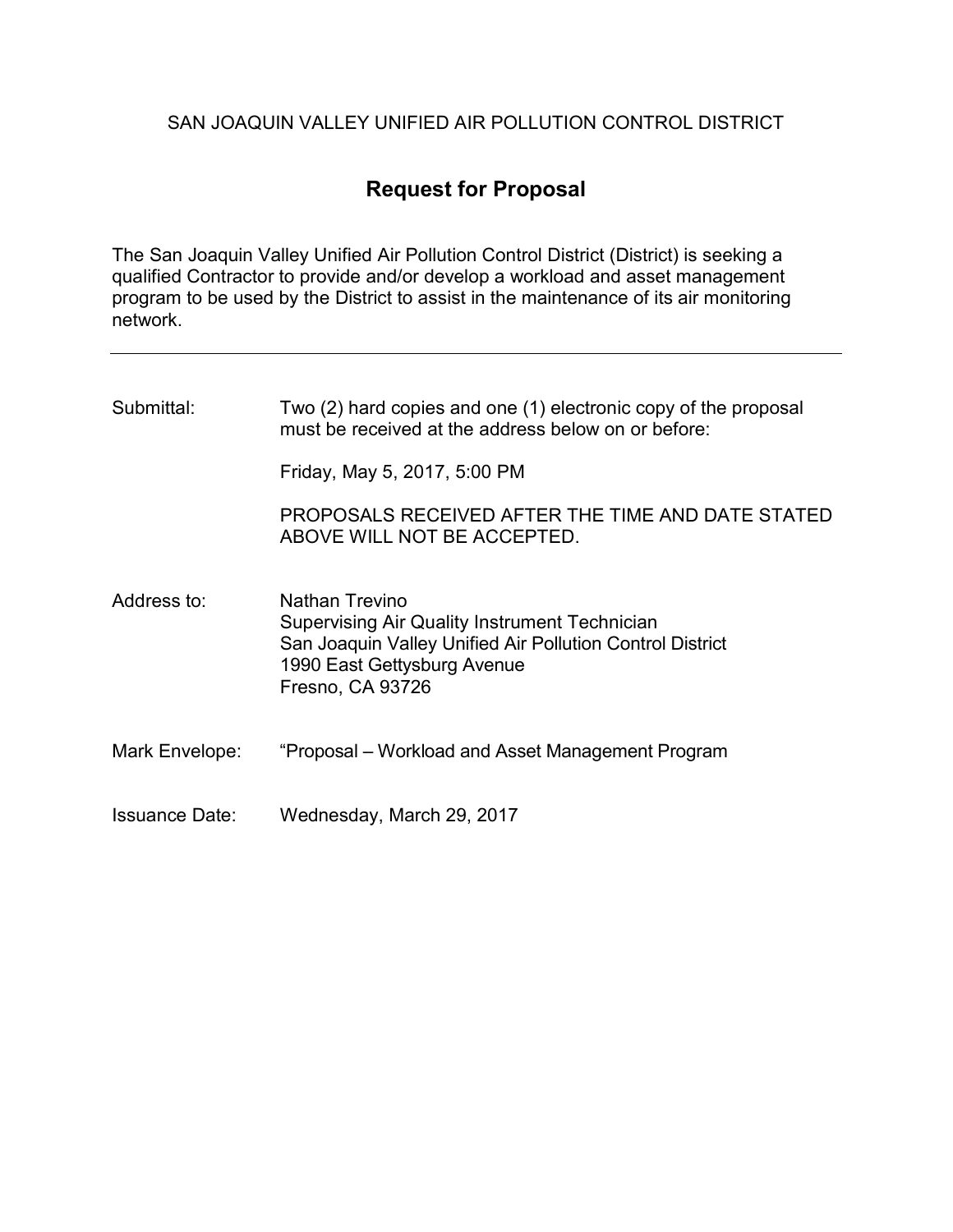## SAN JOAQUIN VALLEY UNIFIED AIR POLLUTION CONTROL DISTRICT

# Request for Proposal

The San Joaquin Valley Unified Air Pollution Control District (District) is seeking a qualified Contractor to provide and/or develop a workload and asset management program to be used by the District to assist in the maintenance of its air monitoring network.

| Submittal:            | Two (2) hard copies and one (1) electronic copy of the proposal<br>must be received at the address below on or before:                                                                        |  |
|-----------------------|-----------------------------------------------------------------------------------------------------------------------------------------------------------------------------------------------|--|
|                       | Friday, May 5, 2017, 5:00 PM                                                                                                                                                                  |  |
|                       | PROPOSALS RECEIVED AFTER THE TIME AND DATE STATED<br>ABOVE WILL NOT BE ACCEPTED.                                                                                                              |  |
| Address to:           | <b>Nathan Trevino</b><br><b>Supervising Air Quality Instrument Technician</b><br>San Joaquin Valley Unified Air Pollution Control District<br>1990 East Gettysburg Avenue<br>Fresno, CA 93726 |  |
| Mark Envelope:        | "Proposal – Workload and Asset Management Program                                                                                                                                             |  |
| <b>Issuance Date:</b> | Wednesday, March 29, 2017                                                                                                                                                                     |  |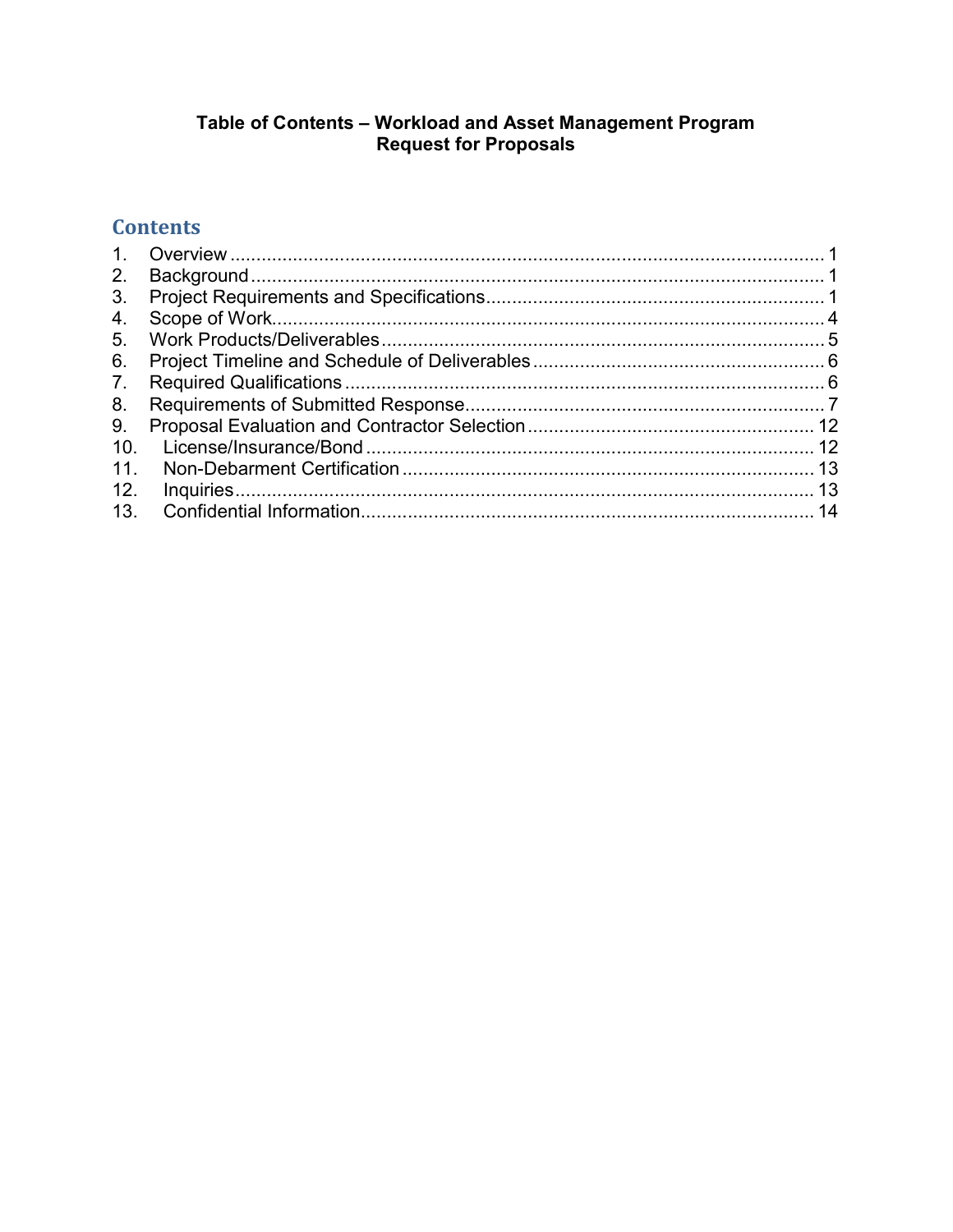# Table of Contents – Workload and Asset Management Program<br>Request for Proposals

# **Contents**

| 2.  |  |
|-----|--|
| 3.  |  |
| 4.  |  |
| 5.  |  |
| 6.  |  |
| 7.  |  |
| 8.  |  |
| 9.  |  |
| 10. |  |
| 11. |  |
| 12. |  |
| 13. |  |
|     |  |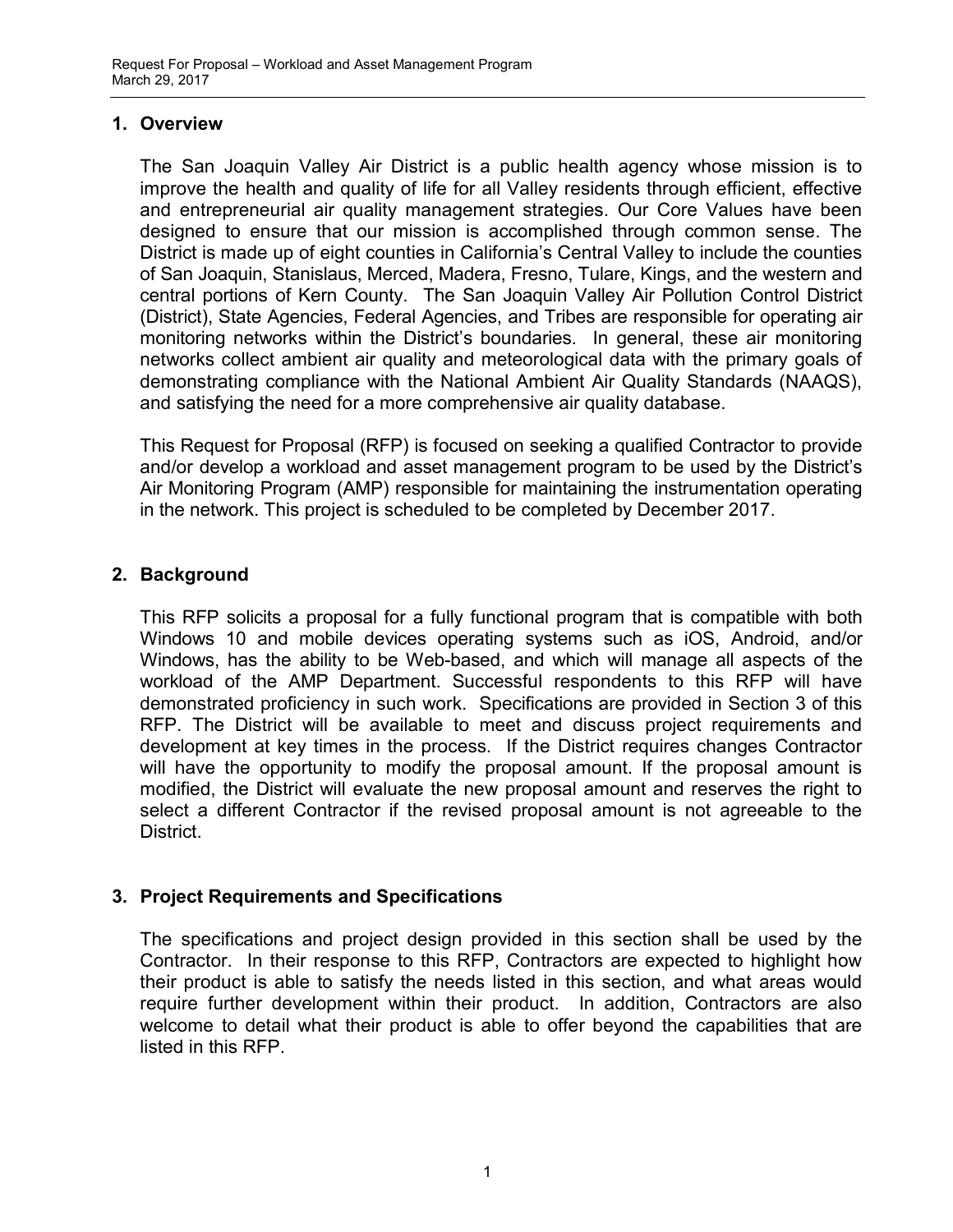#### 1. Overview

The San Joaquin Valley Air District is a public health agency whose mission is to improve the health and quality of life for all Valley residents through efficient, effective and entrepreneurial air quality management strategies. Our Core Values have been designed to ensure that our mission is accomplished through common sense. The District is made up of eight counties in California's Central Valley to include the counties of San Joaquin, Stanislaus, Merced, Madera, Fresno, Tulare, Kings, and the western and central portions of Kern County. The San Joaquin Valley Air Pollution Control District (District), State Agencies, Federal Agencies, and Tribes are responsible for operating air monitoring networks within the District's boundaries. In general, these air monitoring networks collect ambient air quality and meteorological data with the primary goals of demonstrating compliance with the National Ambient Air Quality Standards (NAAQS), and satisfying the need for a more comprehensive air quality database.

This Request for Proposal (RFP) is focused on seeking a qualified Contractor to provide and/or develop a workload and asset management program to be used by the District's Air Monitoring Program (AMP) responsible for maintaining the instrumentation operating in the network. This project is scheduled to be completed by December 2017.

## 2. Background

This RFP solicits a proposal for a fully functional program that is compatible with both Windows 10 and mobile devices operating systems such as iOS, Android, and/or Windows, has the ability to be Web-based, and which will manage all aspects of the workload of the AMP Department. Successful respondents to this RFP will have demonstrated proficiency in such work. Specifications are provided in Section 3 of this RFP. The District will be available to meet and discuss project requirements and development at key times in the process. If the District requires changes Contractor will have the opportunity to modify the proposal amount. If the proposal amount is modified, the District will evaluate the new proposal amount and reserves the right to select a different Contractor if the revised proposal amount is not agreeable to the District.

## 3. Project Requirements and Specifications

The specifications and project design provided in this section shall be used by the Contractor. In their response to this RFP, Contractors are expected to highlight how their product is able to satisfy the needs listed in this section, and what areas would require further development within their product. In addition, Contractors are also welcome to detail what their product is able to offer beyond the capabilities that are listed in this RFP.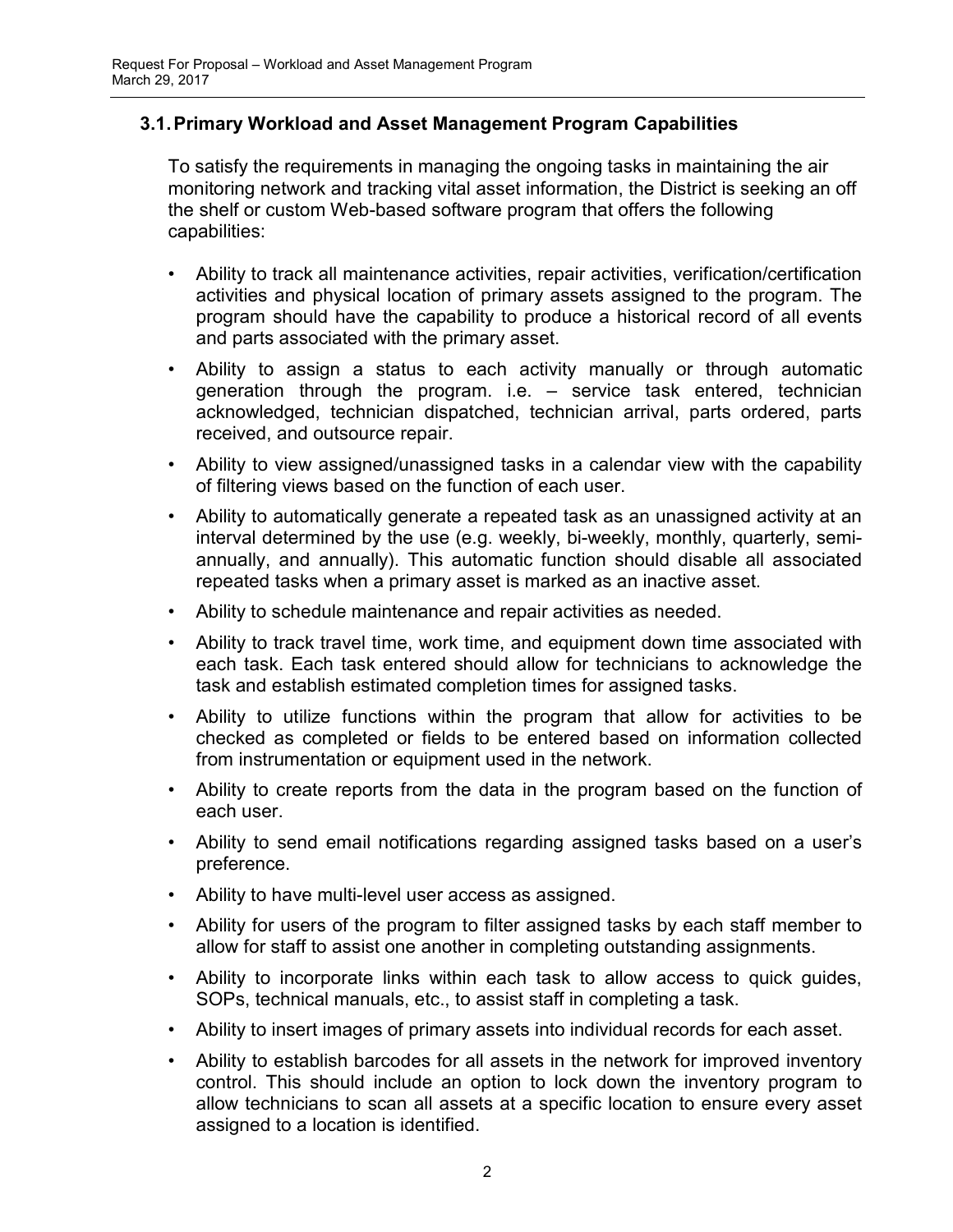## 3.1. Primary Workload and Asset Management Program Capabilities

To satisfy the requirements in managing the ongoing tasks in maintaining the air monitoring network and tracking vital asset information, the District is seeking an off the shelf or custom Web-based software program that offers the following capabilities:

- Ability to track all maintenance activities, repair activities, verification/certification activities and physical location of primary assets assigned to the program. The program should have the capability to produce a historical record of all events and parts associated with the primary asset.
- Ability to assign a status to each activity manually or through automatic generation through the program. i.e. – service task entered, technician acknowledged, technician dispatched, technician arrival, parts ordered, parts received, and outsource repair.
- Ability to view assigned/unassigned tasks in a calendar view with the capability of filtering views based on the function of each user.
- Ability to automatically generate a repeated task as an unassigned activity at an interval determined by the use (e.g. weekly, bi-weekly, monthly, quarterly, semiannually, and annually). This automatic function should disable all associated repeated tasks when a primary asset is marked as an inactive asset.
- Ability to schedule maintenance and repair activities as needed.
- Ability to track travel time, work time, and equipment down time associated with each task. Each task entered should allow for technicians to acknowledge the task and establish estimated completion times for assigned tasks.
- Ability to utilize functions within the program that allow for activities to be checked as completed or fields to be entered based on information collected from instrumentation or equipment used in the network.
- Ability to create reports from the data in the program based on the function of each user.
- Ability to send email notifications regarding assigned tasks based on a user's preference.
- Ability to have multi-level user access as assigned.
- Ability for users of the program to filter assigned tasks by each staff member to allow for staff to assist one another in completing outstanding assignments.
- Ability to incorporate links within each task to allow access to quick guides, SOPs, technical manuals, etc., to assist staff in completing a task.
- Ability to insert images of primary assets into individual records for each asset.
- Ability to establish barcodes for all assets in the network for improved inventory control. This should include an option to lock down the inventory program to allow technicians to scan all assets at a specific location to ensure every asset assigned to a location is identified.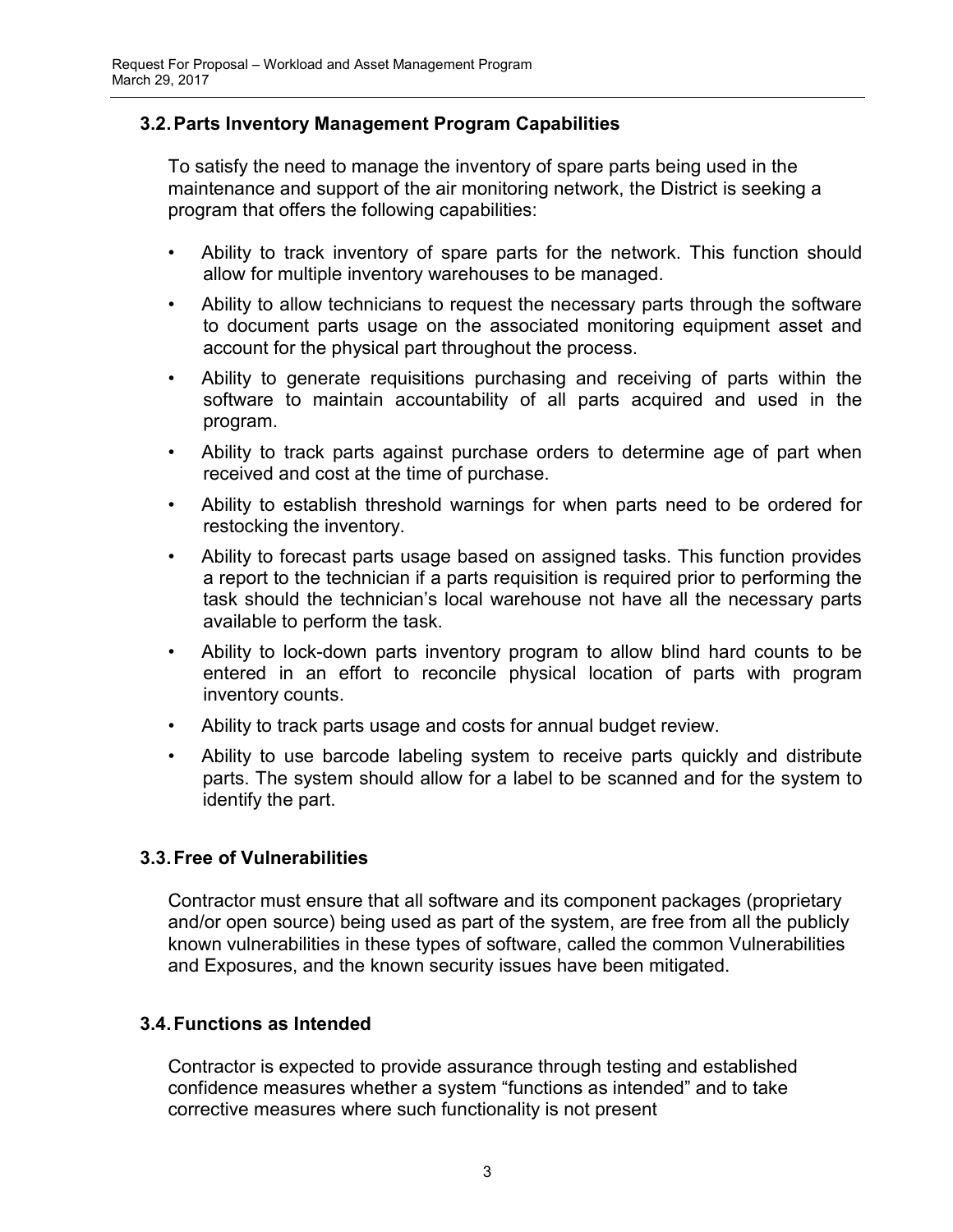## 3.2. Parts Inventory Management Program Capabilities

To satisfy the need to manage the inventory of spare parts being used in the maintenance and support of the air monitoring network, the District is seeking a program that offers the following capabilities:

- Ability to track inventory of spare parts for the network. This function should allow for multiple inventory warehouses to be managed.
- Ability to allow technicians to request the necessary parts through the software to document parts usage on the associated monitoring equipment asset and account for the physical part throughout the process.
- Ability to generate requisitions purchasing and receiving of parts within the software to maintain accountability of all parts acquired and used in the program.
- Ability to track parts against purchase orders to determine age of part when received and cost at the time of purchase.
- Ability to establish threshold warnings for when parts need to be ordered for restocking the inventory.
- Ability to forecast parts usage based on assigned tasks. This function provides a report to the technician if a parts requisition is required prior to performing the task should the technician's local warehouse not have all the necessary parts available to perform the task.
- Ability to lock-down parts inventory program to allow blind hard counts to be entered in an effort to reconcile physical location of parts with program inventory counts.
- Ability to track parts usage and costs for annual budget review.
- Ability to use barcode labeling system to receive parts quickly and distribute parts. The system should allow for a label to be scanned and for the system to identify the part.

## 3.3. Free of Vulnerabilities

Contractor must ensure that all software and its component packages (proprietary and/or open source) being used as part of the system, are free from all the publicly known vulnerabilities in these types of software, called the common Vulnerabilities and Exposures, and the known security issues have been mitigated.

#### 3.4. Functions as Intended

Contractor is expected to provide assurance through testing and established confidence measures whether a system "functions as intended" and to take corrective measures where such functionality is not present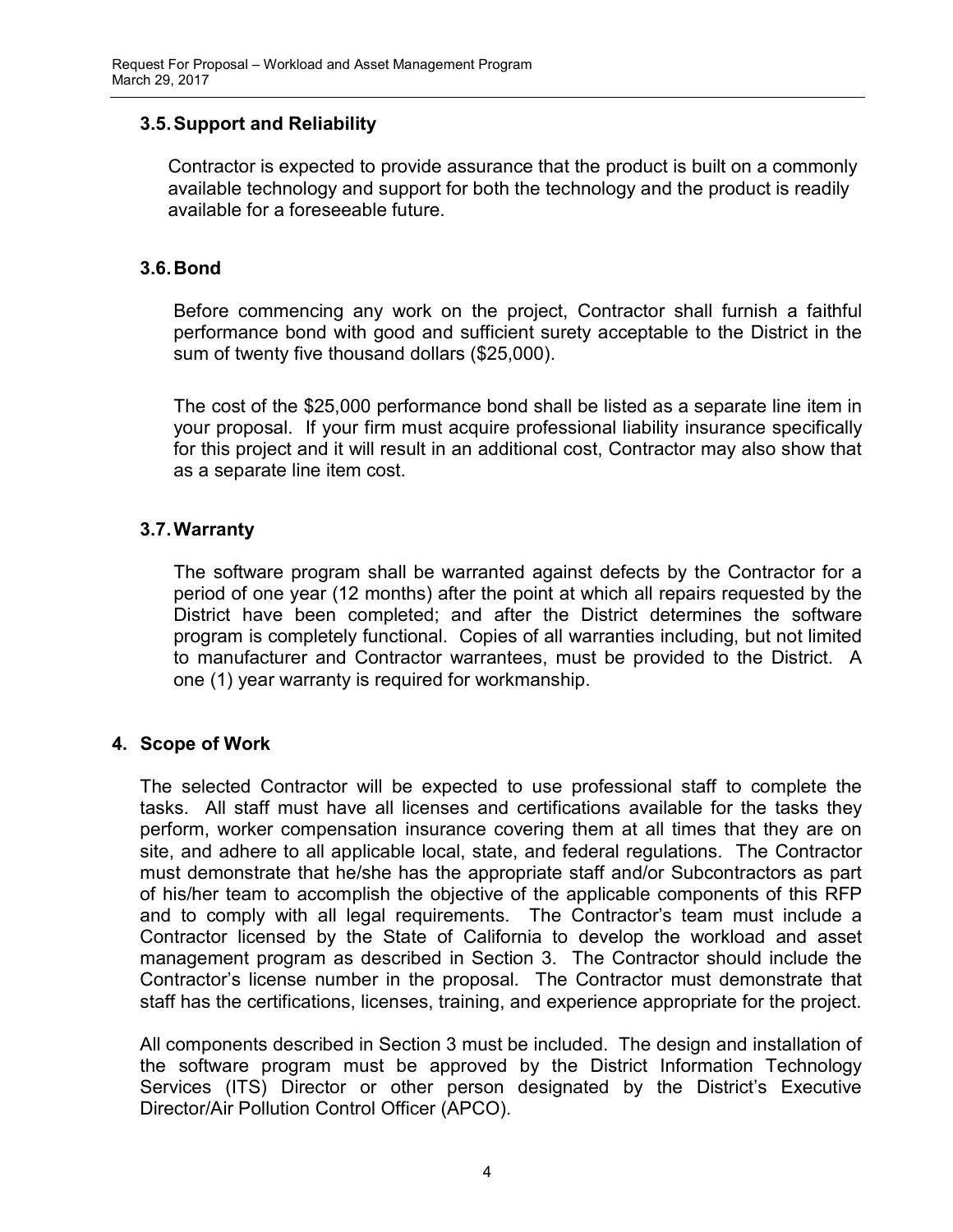## 3.5. Support and Reliability

Contractor is expected to provide assurance that the product is built on a commonly available technology and support for both the technology and the product is readily available for a foreseeable future.

#### 3.6. Bond

Before commencing any work on the project, Contractor shall furnish a faithful performance bond with good and sufficient surety acceptable to the District in the sum of twenty five thousand dollars (\$25,000).

The cost of the \$25,000 performance bond shall be listed as a separate line item in your proposal. If your firm must acquire professional liability insurance specifically for this project and it will result in an additional cost, Contractor may also show that as a separate line item cost.

## 3.7. Warranty

The software program shall be warranted against defects by the Contractor for a period of one year (12 months) after the point at which all repairs requested by the District have been completed; and after the District determines the software program is completely functional. Copies of all warranties including, but not limited to manufacturer and Contractor warrantees, must be provided to the District. A one (1) year warranty is required for workmanship.

#### 4. Scope of Work

The selected Contractor will be expected to use professional staff to complete the tasks. All staff must have all licenses and certifications available for the tasks they perform, worker compensation insurance covering them at all times that they are on site, and adhere to all applicable local, state, and federal regulations. The Contractor must demonstrate that he/she has the appropriate staff and/or Subcontractors as part of his/her team to accomplish the objective of the applicable components of this RFP and to comply with all legal requirements. The Contractor's team must include a Contractor licensed by the State of California to develop the workload and asset management program as described in Section 3. The Contractor should include the Contractor's license number in the proposal. The Contractor must demonstrate that staff has the certifications, licenses, training, and experience appropriate for the project.

All components described in Section 3 must be included. The design and installation of the software program must be approved by the District Information Technology Services (ITS) Director or other person designated by the District's Executive Director/Air Pollution Control Officer (APCO).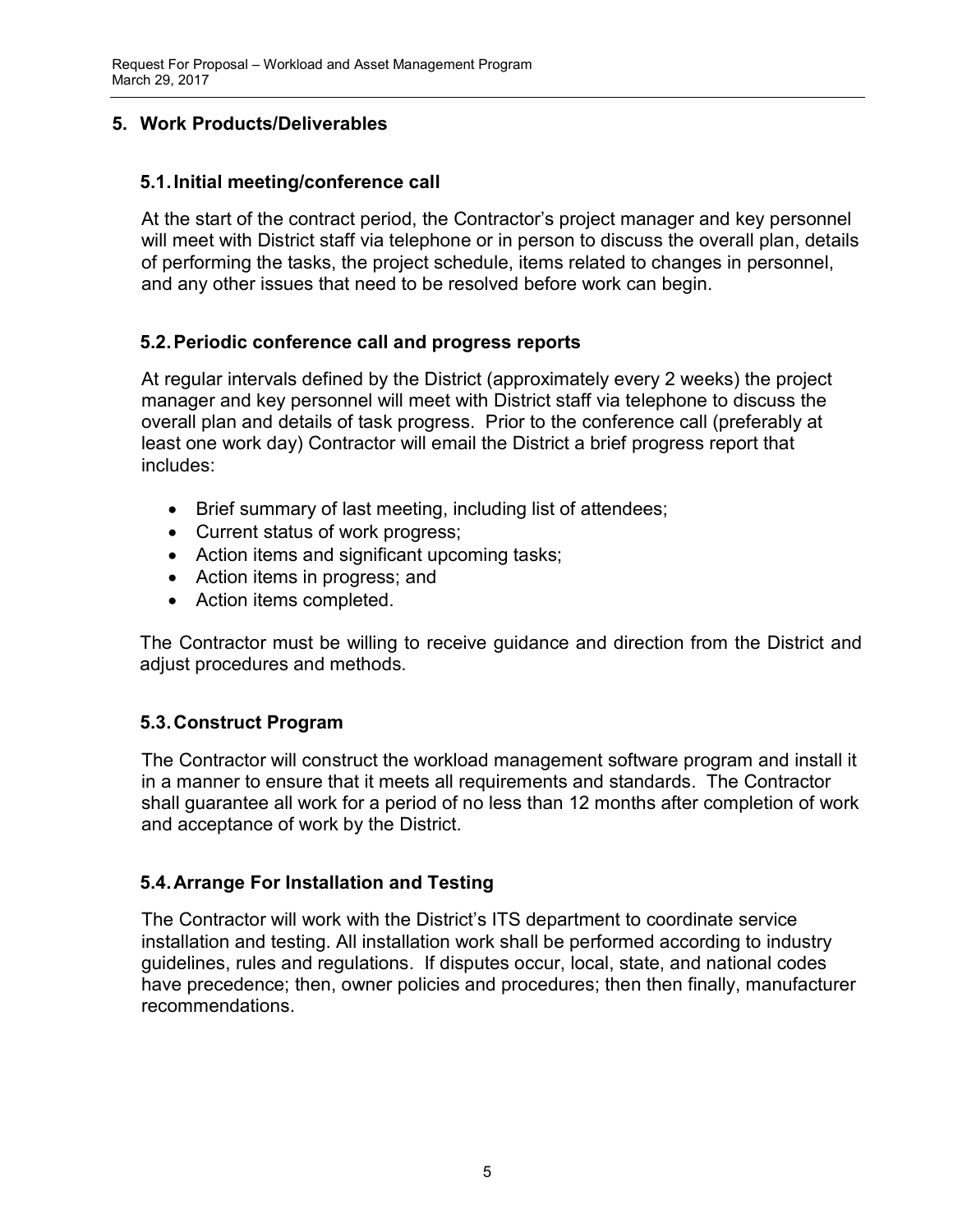## 5. Work Products/Deliverables

## 5.1. Initial meeting/conference call

At the start of the contract period, the Contractor's project manager and key personnel will meet with District staff via telephone or in person to discuss the overall plan, details of performing the tasks, the project schedule, items related to changes in personnel, and any other issues that need to be resolved before work can begin.

## 5.2. Periodic conference call and progress reports

At regular intervals defined by the District (approximately every 2 weeks) the project manager and key personnel will meet with District staff via telephone to discuss the overall plan and details of task progress. Prior to the conference call (preferably at least one work day) Contractor will email the District a brief progress report that includes:

- Brief summary of last meeting, including list of attendees;
- Current status of work progress;
- Action items and significant upcoming tasks;
- Action items in progress; and
- Action items completed.

The Contractor must be willing to receive guidance and direction from the District and adjust procedures and methods.

## 5.3. Construct Program

The Contractor will construct the workload management software program and install it in a manner to ensure that it meets all requirements and standards. The Contractor shall guarantee all work for a period of no less than 12 months after completion of work and acceptance of work by the District.

#### 5.4. Arrange For Installation and Testing

The Contractor will work with the District's ITS department to coordinate service installation and testing. All installation work shall be performed according to industry guidelines, rules and regulations. If disputes occur, local, state, and national codes have precedence; then, owner policies and procedures; then then finally, manufacturer recommendations.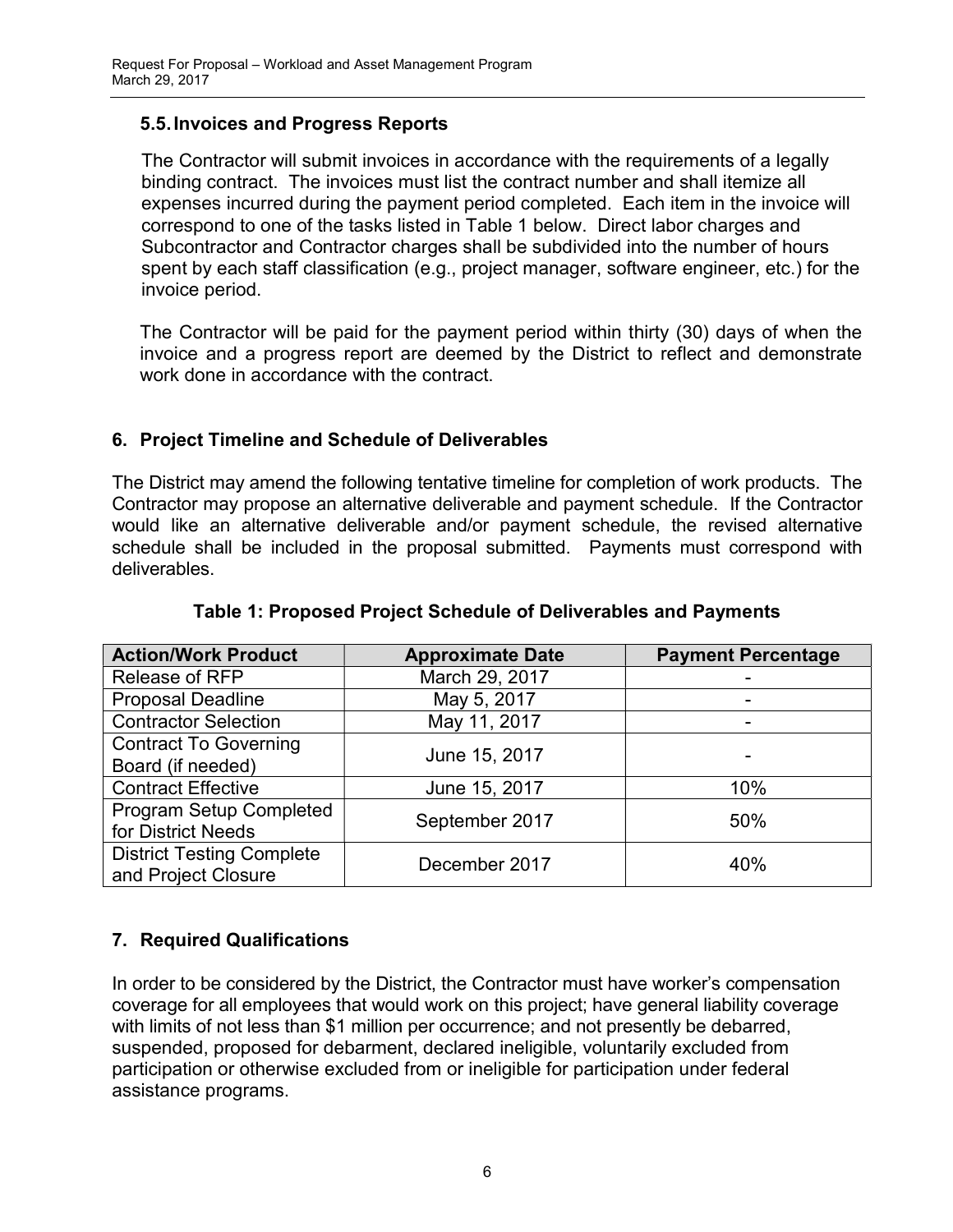## 5.5. Invoices and Progress Reports

The Contractor will submit invoices in accordance with the requirements of a legally binding contract. The invoices must list the contract number and shall itemize all expenses incurred during the payment period completed. Each item in the invoice will correspond to one of the tasks listed in Table 1 below. Direct labor charges and Subcontractor and Contractor charges shall be subdivided into the number of hours spent by each staff classification (e.g., project manager, software engineer, etc.) for the invoice period.

The Contractor will be paid for the payment period within thirty (30) days of when the invoice and a progress report are deemed by the District to reflect and demonstrate work done in accordance with the contract.

## 6. Project Timeline and Schedule of Deliverables

The District may amend the following tentative timeline for completion of work products. The Contractor may propose an alternative deliverable and payment schedule. If the Contractor would like an alternative deliverable and/or payment schedule, the revised alternative schedule shall be included in the proposal submitted. Payments must correspond with deliverables.

| <b>Action/Work Product</b>       | <b>Approximate Date</b> | <b>Payment Percentage</b> |
|----------------------------------|-------------------------|---------------------------|
| Release of RFP                   | March 29, 2017          |                           |
| <b>Proposal Deadline</b>         | May 5, 2017             |                           |
| <b>Contractor Selection</b>      | May 11, 2017            |                           |
| <b>Contract To Governing</b>     | June 15, 2017           |                           |
| Board (if needed)                |                         |                           |
| <b>Contract Effective</b>        | June 15, 2017           | 10%                       |
| <b>Program Setup Completed</b>   | September 2017          | 50%                       |
| for District Needs               |                         |                           |
| <b>District Testing Complete</b> | December 2017           | 40%                       |
| and Project Closure              |                         |                           |

## Table 1: Proposed Project Schedule of Deliverables and Payments

# 7. Required Qualifications

In order to be considered by the District, the Contractor must have worker's compensation coverage for all employees that would work on this project; have general liability coverage with limits of not less than \$1 million per occurrence; and not presently be debarred, suspended, proposed for debarment, declared ineligible, voluntarily excluded from participation or otherwise excluded from or ineligible for participation under federal assistance programs.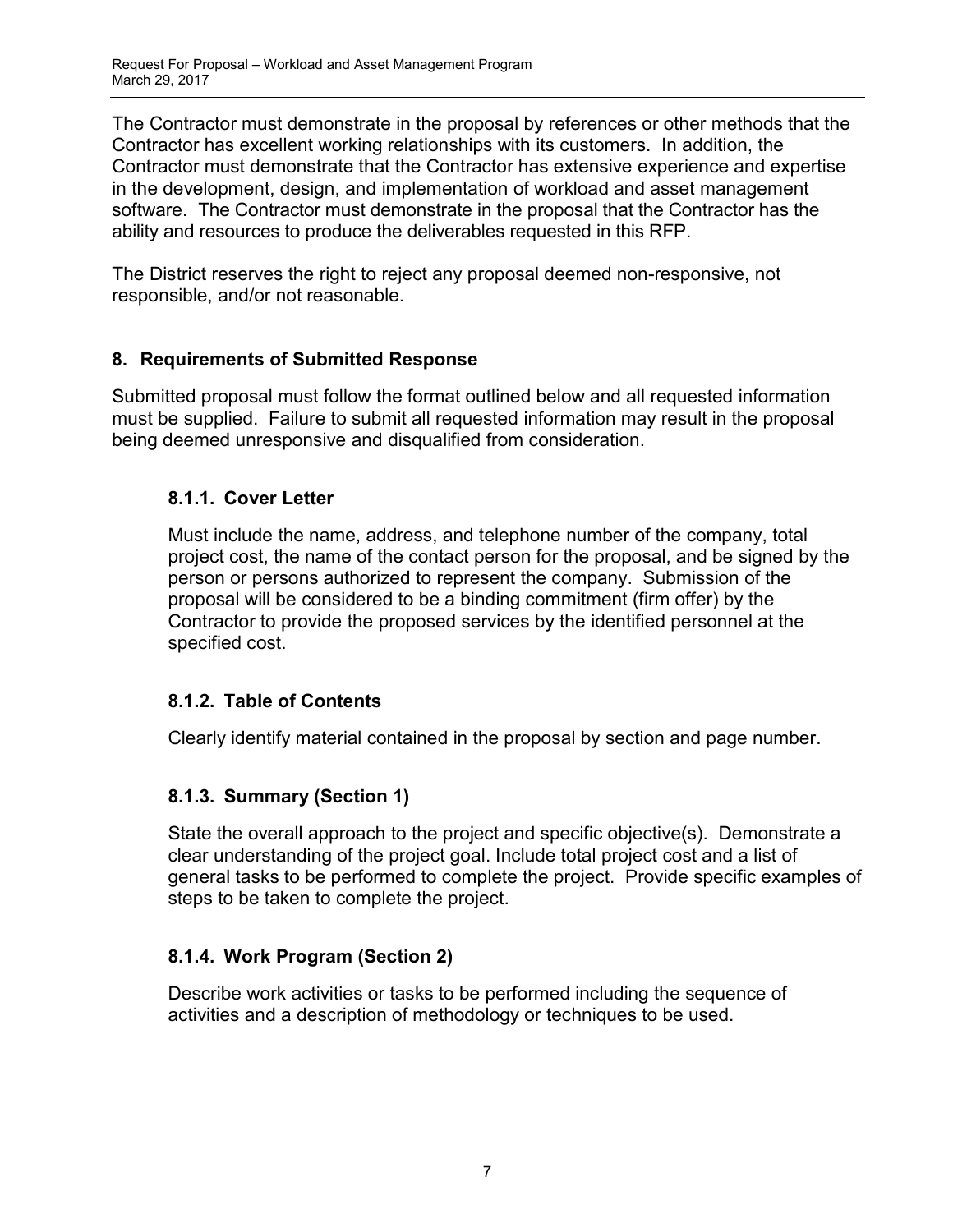The Contractor must demonstrate in the proposal by references or other methods that the Contractor has excellent working relationships with its customers. In addition, the Contractor must demonstrate that the Contractor has extensive experience and expertise in the development, design, and implementation of workload and asset management software. The Contractor must demonstrate in the proposal that the Contractor has the ability and resources to produce the deliverables requested in this RFP.

The District reserves the right to reject any proposal deemed non-responsive, not responsible, and/or not reasonable.

## 8. Requirements of Submitted Response

Submitted proposal must follow the format outlined below and all requested information must be supplied. Failure to submit all requested information may result in the proposal being deemed unresponsive and disqualified from consideration.

## 8.1.1. Cover Letter

Must include the name, address, and telephone number of the company, total project cost, the name of the contact person for the proposal, and be signed by the person or persons authorized to represent the company. Submission of the proposal will be considered to be a binding commitment (firm offer) by the Contractor to provide the proposed services by the identified personnel at the specified cost.

# 8.1.2. Table of Contents

Clearly identify material contained in the proposal by section and page number.

# 8.1.3. Summary (Section 1)

State the overall approach to the project and specific objective(s). Demonstrate a clear understanding of the project goal. Include total project cost and a list of general tasks to be performed to complete the project. Provide specific examples of steps to be taken to complete the project.

# 8.1.4. Work Program (Section 2)

Describe work activities or tasks to be performed including the sequence of activities and a description of methodology or techniques to be used.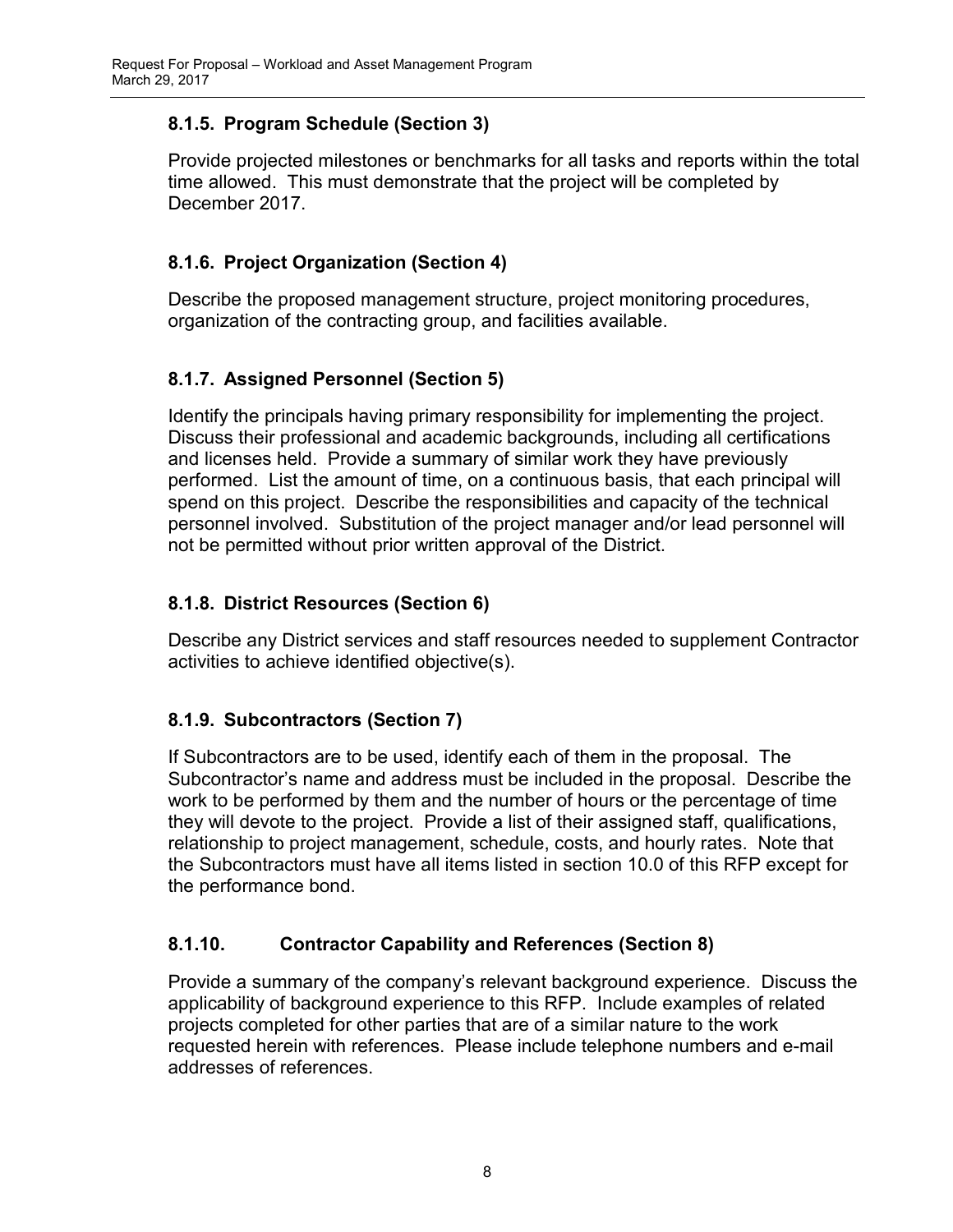# 8.1.5. Program Schedule (Section 3)

Provide projected milestones or benchmarks for all tasks and reports within the total time allowed. This must demonstrate that the project will be completed by December 2017.

# 8.1.6. Project Organization (Section 4)

Describe the proposed management structure, project monitoring procedures, organization of the contracting group, and facilities available.

# 8.1.7. Assigned Personnel (Section 5)

Identify the principals having primary responsibility for implementing the project. Discuss their professional and academic backgrounds, including all certifications and licenses held. Provide a summary of similar work they have previously performed. List the amount of time, on a continuous basis, that each principal will spend on this project. Describe the responsibilities and capacity of the technical personnel involved. Substitution of the project manager and/or lead personnel will not be permitted without prior written approval of the District.

# 8.1.8. District Resources (Section 6)

Describe any District services and staff resources needed to supplement Contractor activities to achieve identified objective(s).

# 8.1.9. Subcontractors (Section 7)

If Subcontractors are to be used, identify each of them in the proposal. The Subcontractor's name and address must be included in the proposal. Describe the work to be performed by them and the number of hours or the percentage of time they will devote to the project. Provide a list of their assigned staff, qualifications, relationship to project management, schedule, costs, and hourly rates. Note that the Subcontractors must have all items listed in section 10.0 of this RFP except for the performance bond.

# 8.1.10. Contractor Capability and References (Section 8)

Provide a summary of the company's relevant background experience. Discuss the applicability of background experience to this RFP. Include examples of related projects completed for other parties that are of a similar nature to the work requested herein with references. Please include telephone numbers and e-mail addresses of references.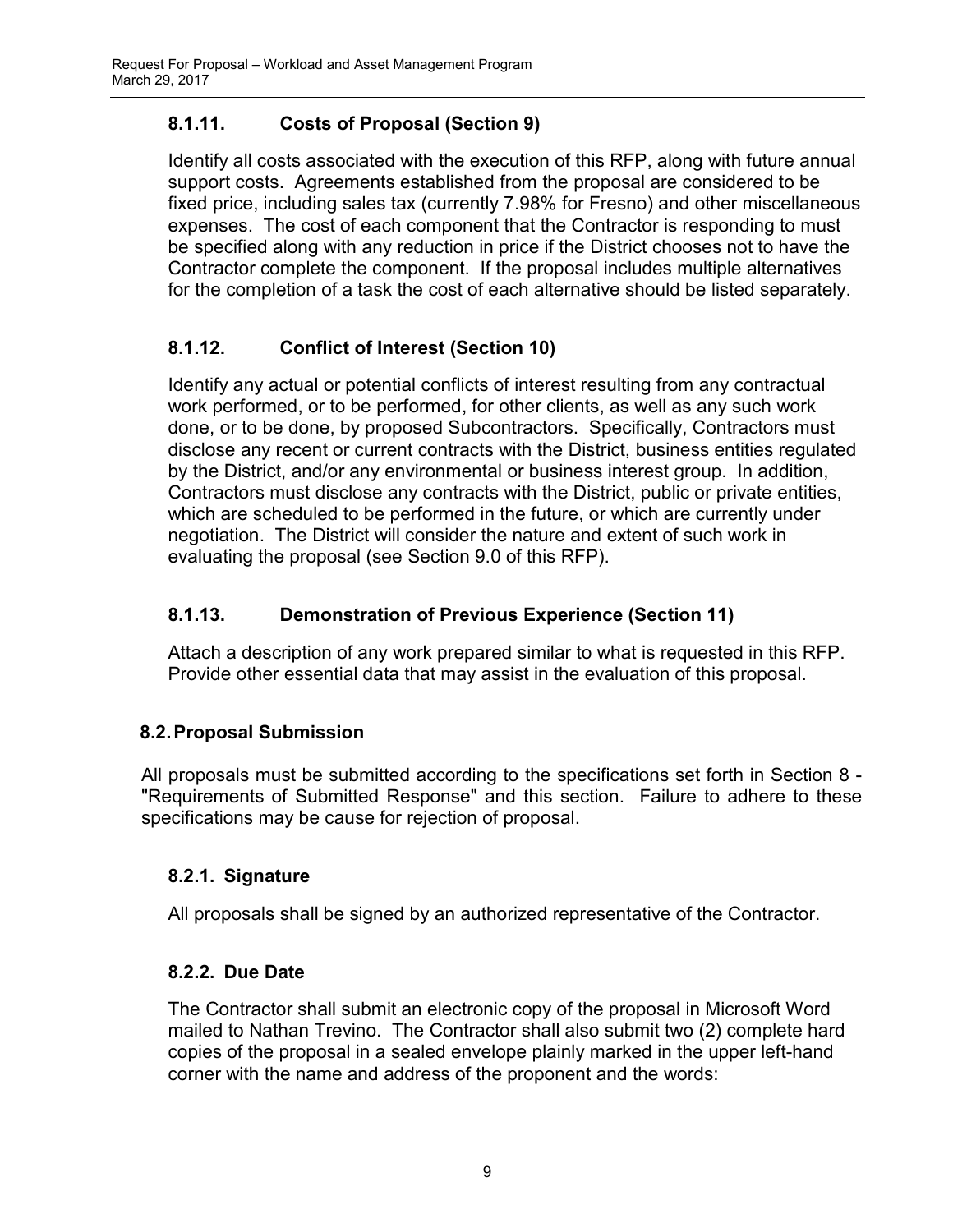# 8.1.11. Costs of Proposal (Section 9)

Identify all costs associated with the execution of this RFP, along with future annual support costs. Agreements established from the proposal are considered to be fixed price, including sales tax (currently 7.98% for Fresno) and other miscellaneous expenses. The cost of each component that the Contractor is responding to must be specified along with any reduction in price if the District chooses not to have the Contractor complete the component. If the proposal includes multiple alternatives for the completion of a task the cost of each alternative should be listed separately.

# 8.1.12. Conflict of Interest (Section 10)

Identify any actual or potential conflicts of interest resulting from any contractual work performed, or to be performed, for other clients, as well as any such work done, or to be done, by proposed Subcontractors. Specifically, Contractors must disclose any recent or current contracts with the District, business entities regulated by the District, and/or any environmental or business interest group. In addition, Contractors must disclose any contracts with the District, public or private entities, which are scheduled to be performed in the future, or which are currently under negotiation. The District will consider the nature and extent of such work in evaluating the proposal (see Section 9.0 of this RFP).

# 8.1.13. Demonstration of Previous Experience (Section 11)

Attach a description of any work prepared similar to what is requested in this RFP. Provide other essential data that may assist in the evaluation of this proposal.

# 8.2. Proposal Submission

All proposals must be submitted according to the specifications set forth in Section 8 - "Requirements of Submitted Response" and this section. Failure to adhere to these specifications may be cause for rejection of proposal.

# 8.2.1. Signature

All proposals shall be signed by an authorized representative of the Contractor.

# 8.2.2. Due Date

The Contractor shall submit an electronic copy of the proposal in Microsoft Word mailed to Nathan Trevino. The Contractor shall also submit two (2) complete hard copies of the proposal in a sealed envelope plainly marked in the upper left-hand corner with the name and address of the proponent and the words: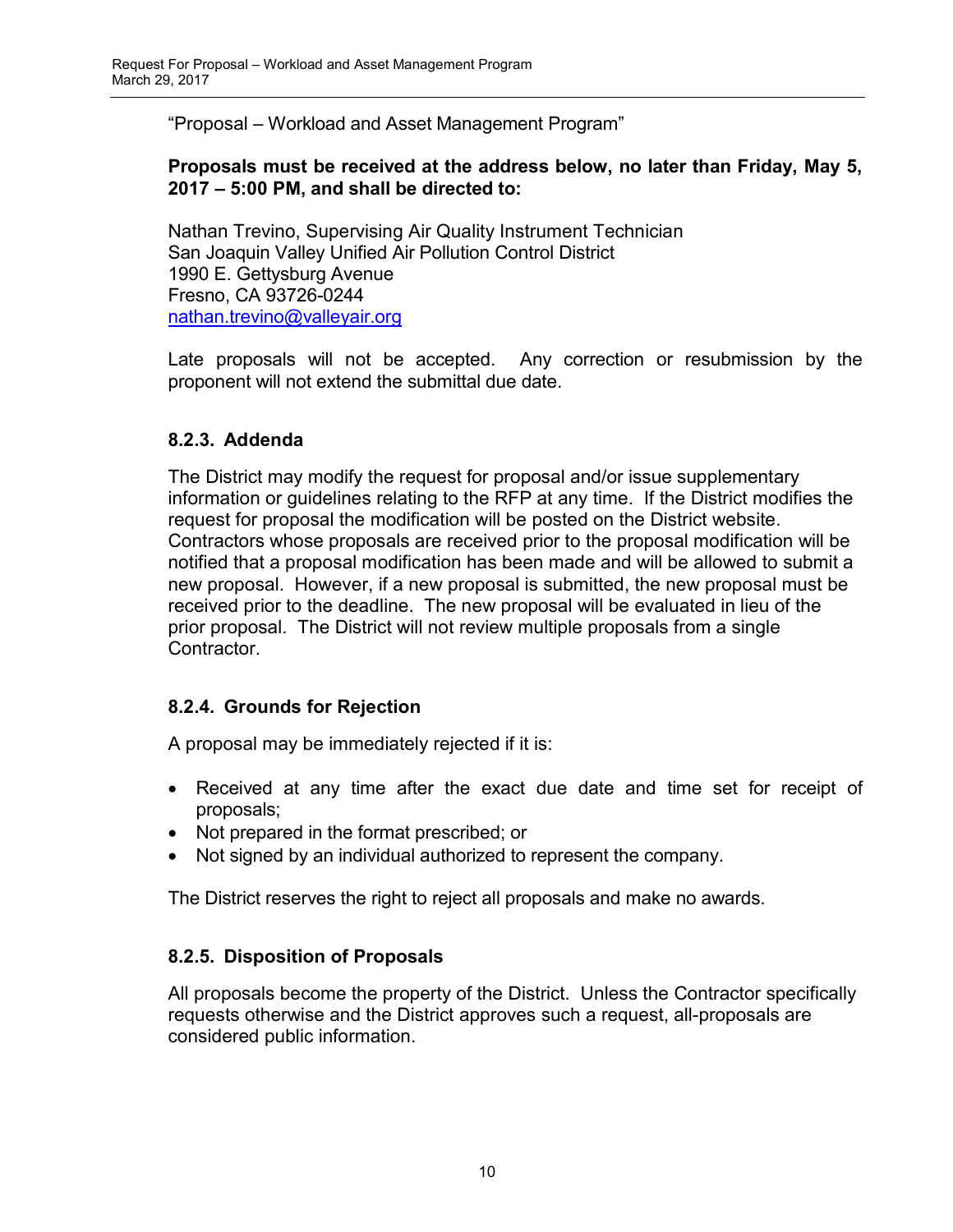"Proposal – Workload and Asset Management Program"

## Proposals must be received at the address below, no later than Friday, May 5, 2017 – 5:00 PM, and shall be directed to:

Nathan Trevino, Supervising Air Quality Instrument Technician San Joaquin Valley Unified Air Pollution Control District 1990 E. Gettysburg Avenue Fresno, CA 93726-0244 nathan.trevino@valleyair.org

Late proposals will not be accepted. Any correction or resubmission by the proponent will not extend the submittal due date.

## 8.2.3. Addenda

The District may modify the request for proposal and/or issue supplementary information or guidelines relating to the RFP at any time. If the District modifies the request for proposal the modification will be posted on the District website. Contractors whose proposals are received prior to the proposal modification will be notified that a proposal modification has been made and will be allowed to submit a new proposal. However, if a new proposal is submitted, the new proposal must be received prior to the deadline. The new proposal will be evaluated in lieu of the prior proposal. The District will not review multiple proposals from a single Contractor.

## 8.2.4. Grounds for Rejection

A proposal may be immediately rejected if it is:

- Received at any time after the exact due date and time set for receipt of proposals;
- Not prepared in the format prescribed; or
- Not signed by an individual authorized to represent the company.

The District reserves the right to reject all proposals and make no awards.

# 8.2.5. Disposition of Proposals

All proposals become the property of the District. Unless the Contractor specifically requests otherwise and the District approves such a request, all-proposals are considered public information.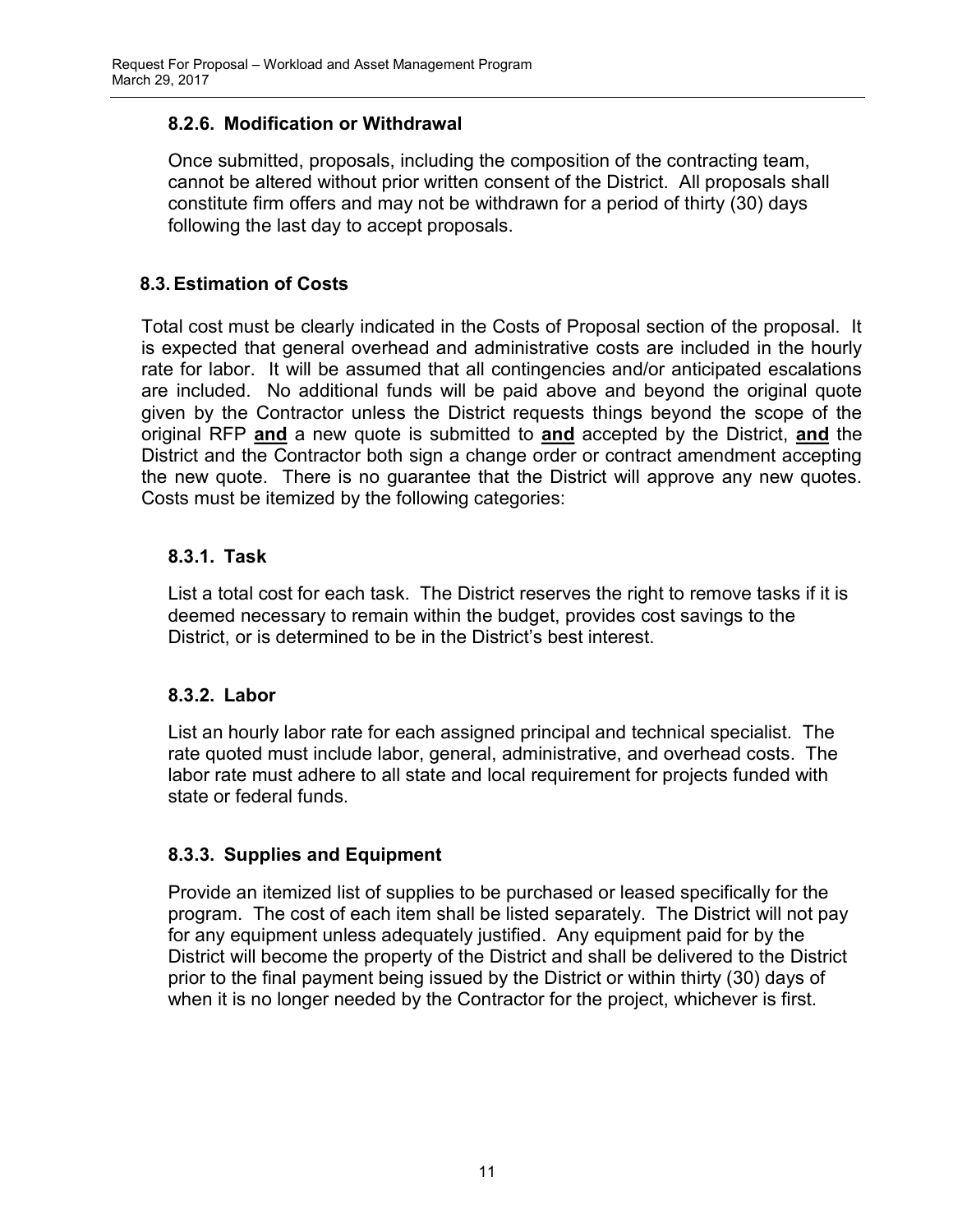## 8.2.6. Modification or Withdrawal

Once submitted, proposals, including the composition of the contracting team, cannot be altered without prior written consent of the District. All proposals shall constitute firm offers and may not be withdrawn for a period of thirty (30) days following the last day to accept proposals.

## 8.3. Estimation of Costs

Total cost must be clearly indicated in the Costs of Proposal section of the proposal. It is expected that general overhead and administrative costs are included in the hourly rate for labor. It will be assumed that all contingencies and/or anticipated escalations are included. No additional funds will be paid above and beyond the original quote given by the Contractor unless the District requests things beyond the scope of the original RFP and a new quote is submitted to and accepted by the District, and the District and the Contractor both sign a change order or contract amendment accepting the new quote. There is no guarantee that the District will approve any new quotes. Costs must be itemized by the following categories:

## 8.3.1. Task

List a total cost for each task. The District reserves the right to remove tasks if it is deemed necessary to remain within the budget, provides cost savings to the District, or is determined to be in the District's best interest.

## 8.3.2. Labor

List an hourly labor rate for each assigned principal and technical specialist. The rate quoted must include labor, general, administrative, and overhead costs. The labor rate must adhere to all state and local requirement for projects funded with state or federal funds.

## 8.3.3. Supplies and Equipment

Provide an itemized list of supplies to be purchased or leased specifically for the program. The cost of each item shall be listed separately. The District will not pay for any equipment unless adequately justified. Any equipment paid for by the District will become the property of the District and shall be delivered to the District prior to the final payment being issued by the District or within thirty (30) days of when it is no longer needed by the Contractor for the project, whichever is first.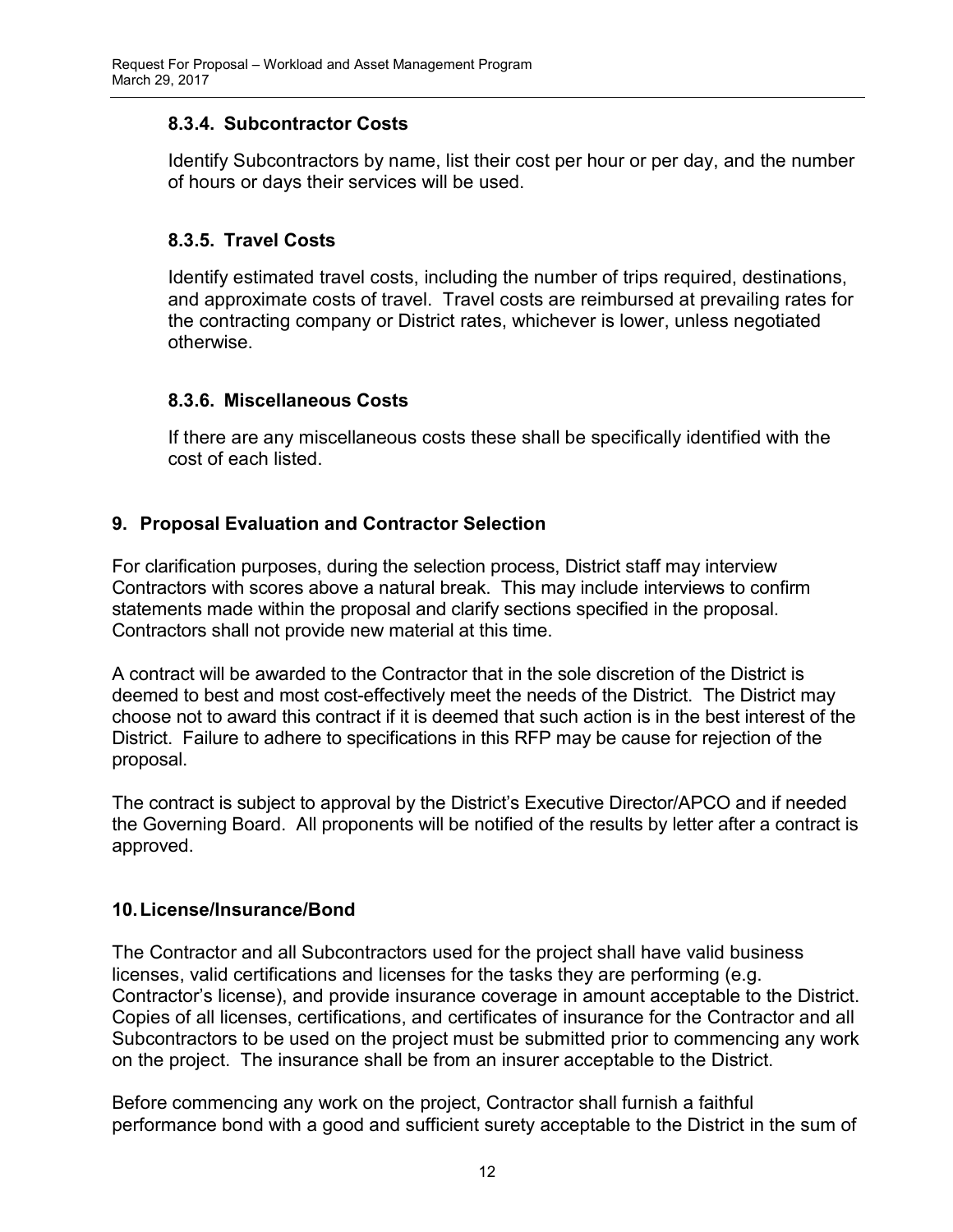## 8.3.4. Subcontractor Costs

Identify Subcontractors by name, list their cost per hour or per day, and the number of hours or days their services will be used.

## 8.3.5. Travel Costs

Identify estimated travel costs, including the number of trips required, destinations, and approximate costs of travel. Travel costs are reimbursed at prevailing rates for the contracting company or District rates, whichever is lower, unless negotiated otherwise.

## 8.3.6. Miscellaneous Costs

If there are any miscellaneous costs these shall be specifically identified with the cost of each listed.

## 9. Proposal Evaluation and Contractor Selection

For clarification purposes, during the selection process, District staff may interview Contractors with scores above a natural break. This may include interviews to confirm statements made within the proposal and clarify sections specified in the proposal. Contractors shall not provide new material at this time.

A contract will be awarded to the Contractor that in the sole discretion of the District is deemed to best and most cost-effectively meet the needs of the District. The District may choose not to award this contract if it is deemed that such action is in the best interest of the District. Failure to adhere to specifications in this RFP may be cause for rejection of the proposal.

The contract is subject to approval by the District's Executive Director/APCO and if needed the Governing Board. All proponents will be notified of the results by letter after a contract is approved.

## 10. License/Insurance/Bond

The Contractor and all Subcontractors used for the project shall have valid business licenses, valid certifications and licenses for the tasks they are performing (e.g. Contractor's license), and provide insurance coverage in amount acceptable to the District. Copies of all licenses, certifications, and certificates of insurance for the Contractor and all Subcontractors to be used on the project must be submitted prior to commencing any work on the project. The insurance shall be from an insurer acceptable to the District.

Before commencing any work on the project, Contractor shall furnish a faithful performance bond with a good and sufficient surety acceptable to the District in the sum of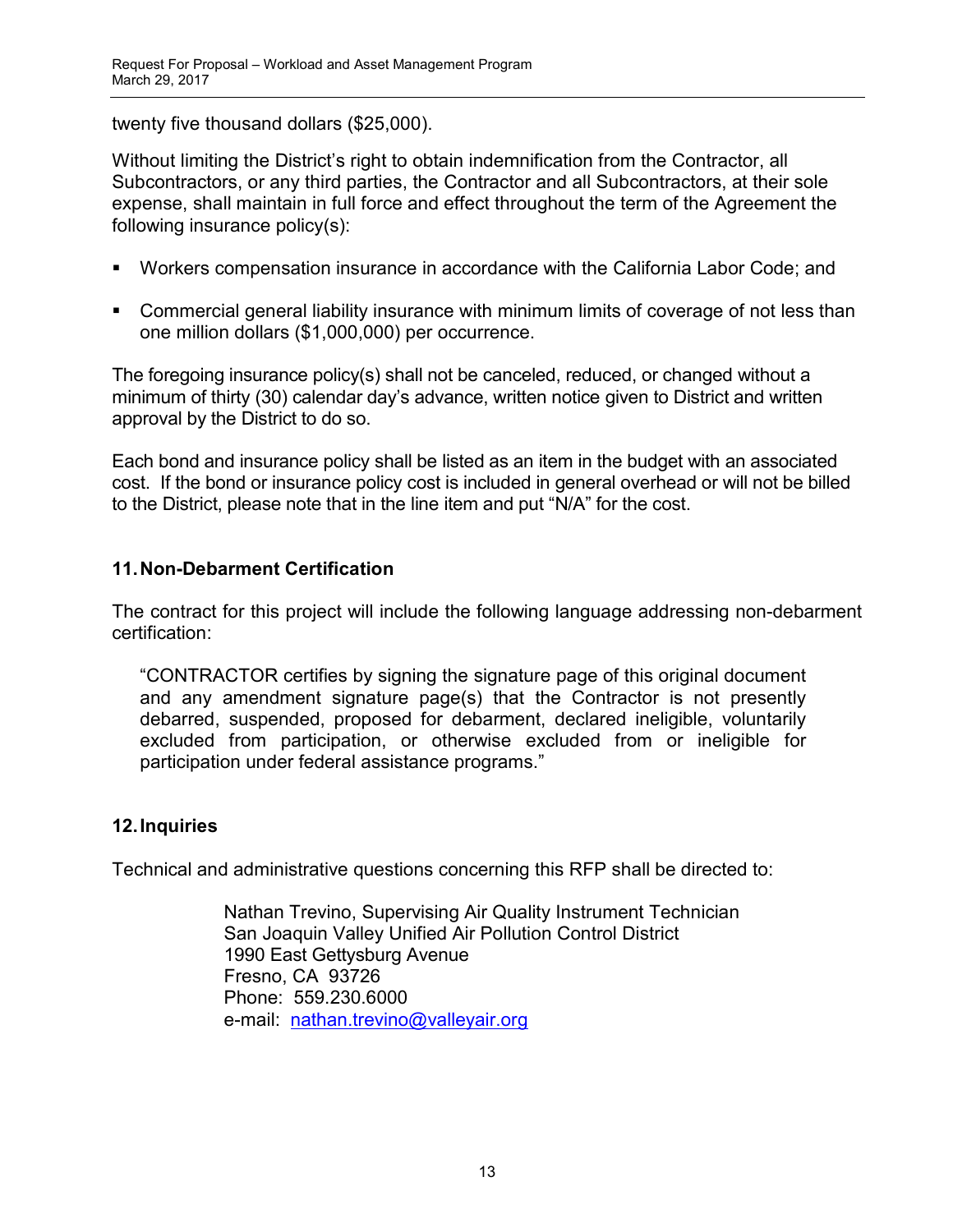twenty five thousand dollars (\$25,000).

Without limiting the District's right to obtain indemnification from the Contractor, all Subcontractors, or any third parties, the Contractor and all Subcontractors, at their sole expense, shall maintain in full force and effect throughout the term of the Agreement the following insurance policy(s):

- Workers compensation insurance in accordance with the California Labor Code; and
- **Commercial general liability insurance with minimum limits of coverage of not less than** one million dollars (\$1,000,000) per occurrence.

The foregoing insurance policy(s) shall not be canceled, reduced, or changed without a minimum of thirty (30) calendar day's advance, written notice given to District and written approval by the District to do so.

Each bond and insurance policy shall be listed as an item in the budget with an associated cost. If the bond or insurance policy cost is included in general overhead or will not be billed to the District, please note that in the line item and put "N/A" for the cost.

## 11. Non-Debarment Certification

The contract for this project will include the following language addressing non-debarment certification:

"CONTRACTOR certifies by signing the signature page of this original document and any amendment signature page(s) that the Contractor is not presently debarred, suspended, proposed for debarment, declared ineligible, voluntarily excluded from participation, or otherwise excluded from or ineligible for participation under federal assistance programs."

# 12. Inquiries

Technical and administrative questions concerning this RFP shall be directed to:

Nathan Trevino, Supervising Air Quality Instrument Technician San Joaquin Valley Unified Air Pollution Control District 1990 East Gettysburg Avenue Fresno, CA 93726 Phone: 559.230.6000 e-mail: nathan.trevino@valleyair.org